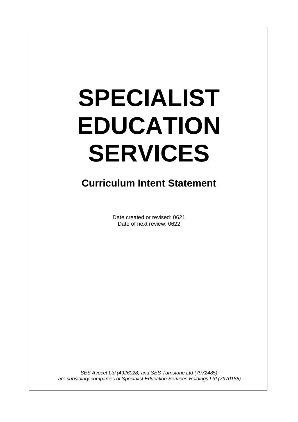# **SPECIALIST EDUCATION SERVICES**

### **Curriculum Intent Statement**

Date created or revised: 0621 Date of next review: 0622

*SES Avocet Ltd (4926028) and SES Turnstone Ltd (7972485) are subsidiary companies of Specialist Education Services Holdings Ltd (7970185)*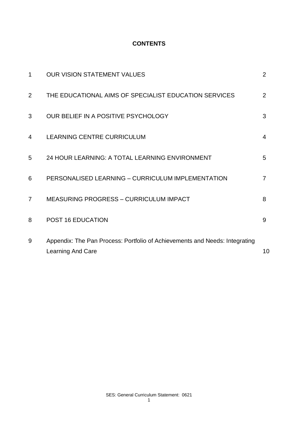#### **CONTENTS**

| 1              | <b>OUR VISION STATEMENT VALUES</b>                                                                      | 2              |
|----------------|---------------------------------------------------------------------------------------------------------|----------------|
| $\overline{2}$ | THE EDUCATIONAL AIMS OF SPECIALIST EDUCATION SERVICES                                                   | $\overline{2}$ |
| 3              | OUR BELIEF IN A POSITIVE PSYCHOLOGY                                                                     | 3              |
| 4              | <b>LEARNING CENTRE CURRICULUM</b>                                                                       | $\overline{4}$ |
| 5              | 24 HOUR LEARNING: A TOTAL LEARNING ENVIRONMENT                                                          | 5              |
| 6              | PERSONALISED LEARNING - CURRICULUM IMPLEMENTATION                                                       | $\overline{7}$ |
| $\overline{7}$ | <b>MEASURING PROGRESS - CURRICULUM IMPACT</b>                                                           | 8              |
| 8              | POST 16 EDUCATION                                                                                       | 9              |
| 9              | Appendix: The Pan Process: Portfolio of Achievements and Needs: Integrating<br><b>Learning And Care</b> | 10             |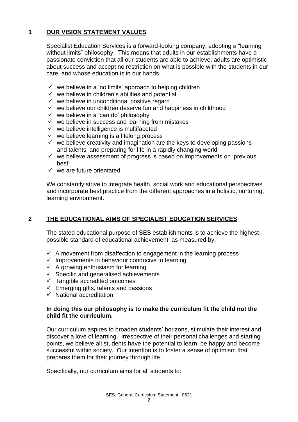#### **1 OUR VISION STATEMENT VALUES**

Specialist Education Services is a forward-looking company, adopting a "learning without limits" philosophy. This means that adults in our establishments have a passionate conviction that all our students are able to achieve; adults are optimistic about success and accept no restriction on what is possible with the students in our care, and whose education is in our hands.

- $\checkmark$  we believe in a 'no limits' approach to helping children
- $\checkmark$  we believe in children's abilities and potential
- $\checkmark$  we believe in unconditional positive regard
- $\checkmark$  we believe our children deserve fun and happiness in childhood
- $\checkmark$  we believe in a 'can do' philosophy
- $\checkmark$  we believe in success and learning from mistakes
- $\checkmark$  we believe intelligence is multifaceted
- $\checkmark$  we believe learning is a lifelong process
- $\checkmark$  we believe creativity and imagination are the keys to developing passions and talents, and preparing for life in a rapidly changing world
- $\checkmark$  we believe assessment of progress is based on improvements on 'previous' best'
- $\checkmark$  we are future orientated

We constantly strive to integrate health, social work and educational perspectives and incorporate best practice from the different approaches in a holistic, nurturing, learning environment.

#### **2 THE EDUCATIONAL AIMS OF SPECIALIST EDUCATION SERVICES**

The stated educational purpose of SES establishments is to achieve the highest possible standard of educational achievement, as measured by:

- $\checkmark$  A movement from disaffection to engagement in the learning process
- $\checkmark$  Improvements in behaviour conducive to learning
- $\checkmark$  A growing enthusiasm for learning
- $\checkmark$  Specific and generalised achievements
- $\checkmark$  Tangible accredited outcomes
- $\checkmark$  Emerging gifts, talents and passions
- $\checkmark$  National accreditation

#### **In doing this our philosophy is to make the curriculum fit the child not the child fit the curriculum.**

Our curriculum aspires to broaden students' horizons, stimulate their interest and discover a love of learning. Irrespective of their personal challenges and starting points, we believe all students have the potential to learn, be happy and become successful within society. Our intention is to foster a sense of optimism that prepares them for their journey through life.

Specifically, our curriculum aims for all students to: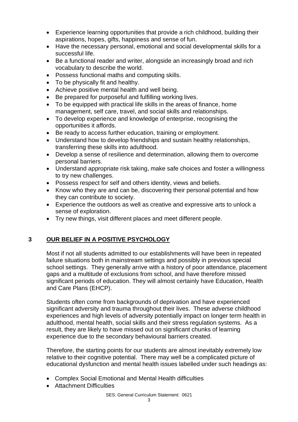- Experience learning opportunities that provide a rich childhood, building their aspirations, hopes, gifts, happiness and sense of fun.
- Have the necessary personal, emotional and social developmental skills for a successful life.
- Be a functional reader and writer, alongside an increasingly broad and rich vocabulary to describe the world.
- Possess functional maths and computing skills.
- To be physically fit and healthy.
- Achieve positive mental health and well being.
- Be prepared for purposeful and fulfilling working lives.
- To be equipped with practical life skills in the areas of finance, home management, self care, travel, and social skills and relationships.
- To develop experience and knowledge of enterprise, recognising the opportunities it affords.
- Be ready to access further education, training or employment.
- Understand how to develop friendships and sustain healthy relationships, transferring these skills into adulthood.
- Develop a sense of resilience and determination, allowing them to overcome personal barriers.
- Understand appropriate risk taking, make safe choices and foster a willingness to try new challenges.
- Possess respect for self and others identity, views and beliefs.
- Know who they are and can be, discovering their personal potential and how they can contribute to society.
- Experience the outdoors as well as creative and expressive arts to unlock a sense of exploration.
- Try new things, visit different places and meet different people.

#### **3 OUR BELIEF IN A POSITIVE PSYCHOLOGY**

Most if not all students admitted to our establishments will have been in repeated failure situations both in mainstream settings and possibly in previous special school settings. They generally arrive with a history of poor attendance, placement gaps and a multitude of exclusions from school, and have therefore missed significant periods of education. They will almost certainly have Education, Health and Care Plans (EHCP).

Students often come from backgrounds of deprivation and have experienced significant adversity and trauma throughout their lives. These adverse childhood experiences and high levels of adversity potentially impact on longer term health in adulthood, mental health, social skills and their stress regulation systems. As a result, they are likely to have missed out on significant chunks of learning experience due to the secondary behavioural barriers created.

Therefore, the starting points for our students are almost inevitably extremely low relative to their cognitive potential. There may well be a complicated picture of educational dysfunction and mental health issues labelled under such headings as:

- Complex Social Emotional and Mental Health difficulties
- Attachment Difficulties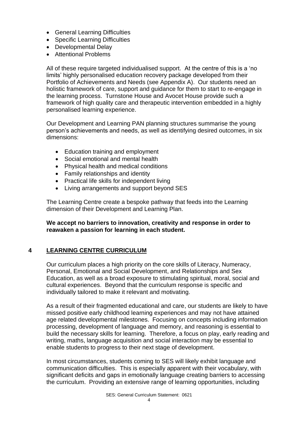- General Learning Difficulties
- Specific Learning Difficulties
- Developmental Delay
- Attentional Problems

All of these require targeted individualised support. At the centre of this is a 'no limits' highly personalised education recovery package developed from their Portfolio of Achievements and Needs (see Appendix A). Our students need an holistic framework of care, support and guidance for them to start to re-engage in the learning process. Turnstone House and Avocet House provide such a framework of high quality care and therapeutic intervention embedded in a highly personalised learning experience.

Our Development and Learning PAN planning structures summarise the young person's achievements and needs, as well as identifying desired outcomes, in six dimensions:

- Education training and employment
- Social emotional and mental health
- Physical health and medical conditions
- Family relationships and identity
- Practical life skills for independent living
- Living arrangements and support beyond SES

The Learning Centre create a bespoke pathway that feeds into the Learning dimension of their Development and Learning Plan.

#### **We accept no barriers to innovation, creativity and response in order to reawaken a passion for learning in each student.**

#### **4 LEARNING CENTRE CURRICULUM**

Our curriculum places a high priority on the core skills of Literacy, Numeracy, Personal, Emotional and Social Development, and Relationships and Sex Education, as well as a broad exposure to stimulating spiritual, moral, social and cultural experiences. Beyond that the curriculum response is specific and individually tailored to make it relevant and motivating.

As a result of their fragmented educational and care, our students are likely to have missed positive early childhood learning experiences and may not have attained age related developmental milestones. Focusing on concepts including information processing, development of language and memory, and reasoning is essential to build the necessary skills for learning. Therefore, a focus on play, early reading and writing, maths, language acquisition and social interaction may be essential to enable students to progress to their next stage of development.

In most circumstances, students coming to SES will likely exhibit language and communication difficulties. This is especially apparent with their vocabulary, with significant deficits and gaps in emotionally language creating barriers to accessing the curriculum. Providing an extensive range of learning opportunities, including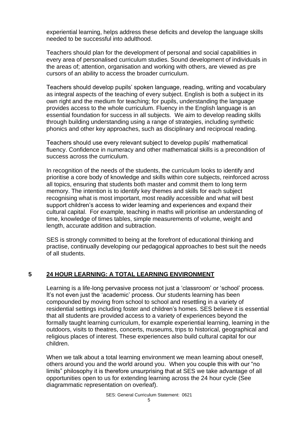experiential learning, helps address these deficits and develop the language skills needed to be successful into adulthood.

Teachers should plan for the development of personal and social capabilities in every area of personalised curriculum studies. Sound development of individuals in the areas of; attention, organisation and working with others, are viewed as pre cursors of an ability to access the broader curriculum.

Teachers should develop pupils' spoken language, reading, writing and vocabulary as integral aspects of the teaching of every subject. English is both a subject in its own right and the medium for teaching; for pupils, understanding the language provides access to the whole curriculum. Fluency in the English language is an essential foundation for success in all subjects. We aim to develop reading skills through building understanding using a range of strategies, including synthetic phonics and other key approaches, such as disciplinary and reciprocal reading.

Teachers should use every relevant subject to develop pupils' mathematical fluency. Confidence in numeracy and other mathematical skills is a precondition of success across the curriculum.

In recognition of the needs of the students, the curriculum looks to identify and prioritise a core body of knowledge and skills within core subjects, reinforced across all topics, ensuring that students both master and commit them to long term memory. The intention is to identify key themes and skills for each subject recognising what is most important, most readily accessible and what will best support children's access to wider learning and experiences and expand their cultural capital. For example, teaching in maths will prioritise an understanding of time, knowledge of times tables, simple measurements of volume, weight and length, accurate addition and subtraction.

SES is strongly committed to being at the forefront of educational thinking and practise, continually developing our pedagogical approaches to best suit the needs of all students.

#### **5 24 HOUR LEARNING: A TOTAL LEARNING ENVIRONMENT**

Learning is a life-long pervasive process not just a 'classroom' or 'school' process. It's not even just the 'academic' process. Our students learning has been compounded by moving from school to school and resettling in a variety of residential settings including foster and children's homes. SES believe it is essential that all students are provided access to a variety of experiences beyond the formally taught learning curriculum, for example experiential learning, learning in the outdoors, visits to theatres, concerts, museums, trips to historical, geographical and religious places of interest. These experiences also build cultural capital for our children.

When we talk about a total learning environment we mean learning about oneself, others around you and the world around you. When you couple this with our "no limits" philosophy it is therefore unsurprising that at SES we take advantage of all opportunities open to us for extending learning across the 24 hour cycle (See diagrammatic representation on overleaf).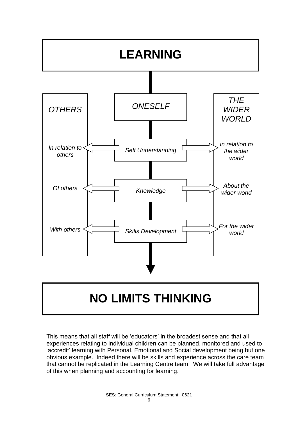

## **NO LIMITS THINKING**

This means that all staff will be 'educators' in the broadest sense and that all experiences relating to individual children can be planned, monitored and used to 'accredit' learning with Personal, Emotional and Social development being but one obvious example. Indeed there will be skills and experience across the care team that cannot be replicated in the Learning Centre team. We will take full advantage of this when planning and accounting for learning.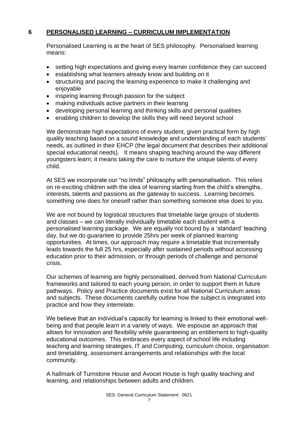#### **6 PERSONALISED LEARNING – CURRICULUM IMPLEMENTATION**

Personalised Learning is at the heart of SES philosophy. Personalised learning means:

- setting high expectations and giving every learner confidence they can succeed
- establishing what learners already know and building on it
- structuring and pacing the learning experience to make it challenging and enjoyable
- inspiring learning through passion for the subject
- making individuals active partners in their learning
- developing personal learning and thinking skills and personal qualities
- enabling children to develop the skills they will need beyond school

We demonstrate high expectations of every student, given practical form by high quality teaching based on a sound knowledge and understanding of each students' needs, as outlined in their EHCP (the legal document that describes their additional special educational needs). It means shaping teaching around the way different youngsters learn; it means taking the care to nurture the unique talents of every child.

At SES we incorporate our "no limits" philosophy with personalisation. This relies on re-exciting children with the idea of learning starting from the child's strengths, interests, talents and passions as the gateway to success. Learning becomes something one does for oneself rather than something someone else does to you.

We are not bound by logistical structures that timetable large groups of students and classes – we can literally individually timetable each student with a personalised learning package. We are equally not bound by a 'standard' teaching day, but we do guarantee to provide 25hrs per week of planned learning opportunities. At times, our approach may require a timetable that incrementally leads towards the full 25 hrs, especially after sustained periods without accessing education prior to their admission, or through periods of challenge and personal crisis.

Our schemes of learning are highly personalised, derived from National Curriculum frameworks and tailored to each young person, in order to support them in future pathways. Policy and Practice documents exist for all National Curriculum areas and subjects. These documents carefully outline how the subject is integrated into practice and how they interrelate.

We believe that an individual's capacity for learning is linked to their emotional wellbeing and that people learn in a variety of ways. We espouse an approach that allows for innovation and flexibility while guaranteeing an entitlement to high-quality educational outcomes. This embraces every aspect of school life including teaching and learning strategies, IT and Computing, curriculum choice, organisation and timetabling, assessment arrangements and relationships with the local community.

A hallmark of Turnstone House and Avocet House is high quality teaching and learning, and relationships between adults and children.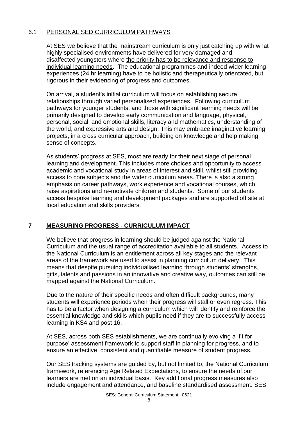#### 6.1 PERSONALISED CURRICULUM PATHWAYS

At SES we believe that the mainstream curriculum is only just catching up with what highly specialised environments have delivered for very damaged and disaffected youngsters where the priority has to be relevance and response to individual learning needs. The educational programmes and indeed wider learning experiences (24 hr learning) have to be holistic and therapeutically orientated, but rigorous in their evidencing of progress and outcomes.

On arrival, a student's initial curriculum will focus on establishing secure relationships through varied personalised experiences. Following curriculum pathways for younger students, and those with significant learning needs will be primarily designed to develop early communication and language, physical, personal, social, and emotional skills, literacy and mathematics, understanding of the world, and expressive arts and design. This may embrace imaginative learning projects, in a cross curricular approach, building on knowledge and help making sense of concepts.

As students' progress at SES, most are ready for their next stage of personal learning and development. This includes more choices and opportunity to access academic and vocational study in areas of interest and skill, whilst still providing access to core subjects and the wider curriculum areas. There is also a strong emphasis on career pathways, work experience and vocational courses, which raise aspirations and re-motivate children and students. Some of our students access bespoke learning and development packages and are supported off site at local education and skills providers.

#### **7 MEASURING PROGRESS - CURRICULUM IMPACT**

We believe that progress in learning should be judged against the National Curriculum and the usual range of accreditation available to all students. Access to the National Curriculum is an entitlement across all key stages and the relevant areas of the framework are used to assist in planning curriculum delivery. This means that despite pursuing individualised learning through students' strengths, gifts, talents and passions in an innovative and creative way, outcomes can still be mapped against the National Curriculum.

Due to the nature of their specific needs and often difficult backgrounds, many students will experience periods when their progress will stall or even regress. This has to be a factor when designing a curriculum which will identify and reinforce the essential knowledge and skills which pupils need if they are to successfully access learning in KS4 and post 16.

At SES, across both SES establishments, we are continually evolving a 'fit for purpose' assessment framework to support staff in planning for progress, and to ensure an effective, consistent and quantifiable measure of student progress.

Our SES tracking systems are guided by, but not limited to, the National Curriculum framework, referencing Age Related Expectations, to ensure the needs of our learners are met on an individual basis. Key additional progress measures also include engagement and attendance, and baseline standardised assessment. SES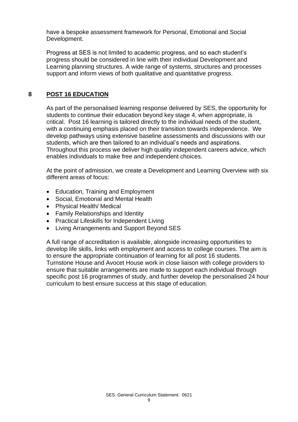have a bespoke assessment framework for Personal, Emotional and Social Development.

Progress at SES is not limited to academic progress, and so each student's progress should be considered in line with their individual Development and Learning planning structures. A wide range of systems, structures and processes support and inform views of both qualitative and quantitative progress.

#### **8 POST 16 EDUCATION**

As part of the personalised learning response delivered by SES, the opportunity for students to continue their education beyond key stage 4, when appropriate, is critical. Post 16 learning is tailored directly to the individual needs of the student, with a continuing emphasis placed on their transition towards independence. We develop pathways using extensive baseline assessments and discussions with our students, which are then tailored to an individual's needs and aspirations. Throughout this process we deliver high quality independent careers advice, which enables individuals to make free and independent choices.

At the point of admission, we create a Development and Learning Overview with six different areas of focus:

- Education, Training and Employment
- Social, Emotional and Mental Health
- Physical Health/ Medical
- Family Relationships and Identity
- Practical Lifeskills for Independent Living
- Living Arrangements and Support Beyond SES

A full range of accreditation is available, alongside increasing opportunities to develop life skills, links with employment and access to college courses. The aim is to ensure the appropriate continuation of learning for all post 16 students. Turnstone House and Avocet House work in close liaison with college providers to ensure that suitable arrangements are made to support each individual through specific post 16 programmes of study, and further develop the personalised 24 hour curriculum to best ensure success at this stage of education.